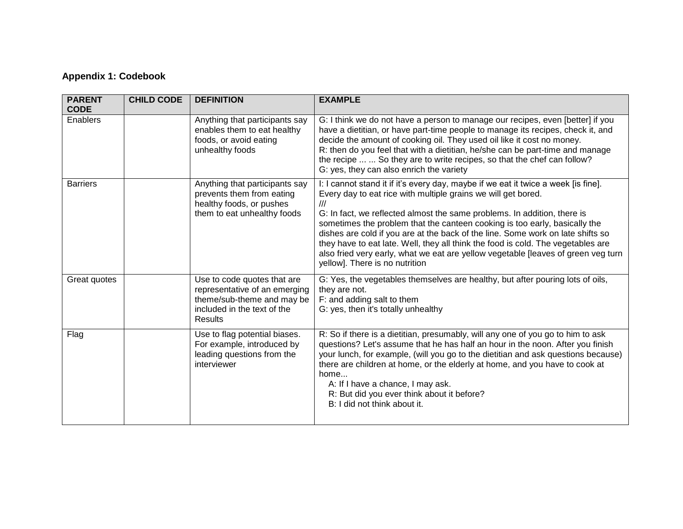## **Appendix 1: Codebook**

| <b>PARENT</b><br><b>CODE</b> | <b>CHILD CODE</b> | <b>DEFINITION</b>                                                                                                                    | <b>EXAMPLE</b>                                                                                                                                                                                                                                                                                                                                                                                                                                                                                                                                                                                                     |
|------------------------------|-------------------|--------------------------------------------------------------------------------------------------------------------------------------|--------------------------------------------------------------------------------------------------------------------------------------------------------------------------------------------------------------------------------------------------------------------------------------------------------------------------------------------------------------------------------------------------------------------------------------------------------------------------------------------------------------------------------------------------------------------------------------------------------------------|
| Enablers                     |                   | Anything that participants say<br>enables them to eat healthy<br>foods, or avoid eating<br>unhealthy foods                           | G: I think we do not have a person to manage our recipes, even [better] if you<br>have a dietitian, or have part-time people to manage its recipes, check it, and<br>decide the amount of cooking oil. They used oil like it cost no money.<br>R: then do you feel that with a dietitian, he/she can be part-time and manage<br>the recipe   So they are to write recipes, so that the chef can follow?<br>G: yes, they can also enrich the variety                                                                                                                                                                |
| <b>Barriers</b>              |                   | Anything that participants say<br>prevents them from eating<br>healthy foods, or pushes<br>them to eat unhealthy foods               | I: I cannot stand it if it's every day, maybe if we eat it twice a week [is fine].<br>Every day to eat rice with multiple grains we will get bored.<br>III<br>G: In fact, we reflected almost the same problems. In addition, there is<br>sometimes the problem that the canteen cooking is too early, basically the<br>dishes are cold if you are at the back of the line. Some work on late shifts so<br>they have to eat late. Well, they all think the food is cold. The vegetables are<br>also fried very early, what we eat are yellow vegetable [leaves of green veg turn<br>yellow]. There is no nutrition |
| Great quotes                 |                   | Use to code quotes that are<br>representative of an emerging<br>theme/sub-theme and may be<br>included in the text of the<br>Results | G: Yes, the vegetables themselves are healthy, but after pouring lots of oils,<br>they are not.<br>F: and adding salt to them<br>G: yes, then it's totally unhealthy                                                                                                                                                                                                                                                                                                                                                                                                                                               |
| Flag                         |                   | Use to flag potential biases.<br>For example, introduced by<br>leading questions from the<br>interviewer                             | R: So if there is a dietitian, presumably, will any one of you go to him to ask<br>questions? Let's assume that he has half an hour in the noon. After you finish<br>your lunch, for example, (will you go to the dietitian and ask questions because)<br>there are children at home, or the elderly at home, and you have to cook at<br>home<br>A: If I have a chance, I may ask.<br>R: But did you ever think about it before?<br>B: I did not think about it.                                                                                                                                                   |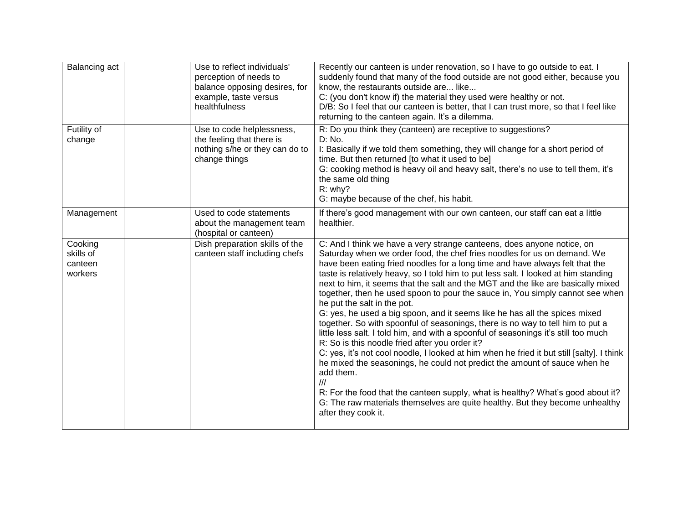| Balancing act                              | Use to reflect individuals'<br>perception of needs to<br>balance opposing desires, for<br>example, taste versus<br>healthfulness | Recently our canteen is under renovation, so I have to go outside to eat. I<br>suddenly found that many of the food outside are not good either, because you<br>know, the restaurants outside are like<br>C: (you don't know if) the material they used were healthy or not.<br>D/B: So I feel that our canteen is better, that I can trust more, so that I feel like<br>returning to the canteen again. It's a dilemma.                                                                                                                                                                                                                                                                                                                                                                                                                                                                                                                                                                                                                                                                                                                                                                                                       |
|--------------------------------------------|----------------------------------------------------------------------------------------------------------------------------------|--------------------------------------------------------------------------------------------------------------------------------------------------------------------------------------------------------------------------------------------------------------------------------------------------------------------------------------------------------------------------------------------------------------------------------------------------------------------------------------------------------------------------------------------------------------------------------------------------------------------------------------------------------------------------------------------------------------------------------------------------------------------------------------------------------------------------------------------------------------------------------------------------------------------------------------------------------------------------------------------------------------------------------------------------------------------------------------------------------------------------------------------------------------------------------------------------------------------------------|
| Futility of<br>change                      | Use to code helplessness,<br>the feeling that there is<br>nothing s/he or they can do to<br>change things                        | R: Do you think they (canteen) are receptive to suggestions?<br>D: No.<br>I: Basically if we told them something, they will change for a short period of<br>time. But then returned [to what it used to be]<br>G: cooking method is heavy oil and heavy salt, there's no use to tell them, it's<br>the same old thing<br>R: why?<br>G: maybe because of the chef, his habit.                                                                                                                                                                                                                                                                                                                                                                                                                                                                                                                                                                                                                                                                                                                                                                                                                                                   |
| Management                                 | Used to code statements<br>about the management team<br>(hospital or canteen)                                                    | If there's good management with our own canteen, our staff can eat a little<br>healthier.                                                                                                                                                                                                                                                                                                                                                                                                                                                                                                                                                                                                                                                                                                                                                                                                                                                                                                                                                                                                                                                                                                                                      |
| Cooking<br>skills of<br>canteen<br>workers | Dish preparation skills of the<br>canteen staff including chefs                                                                  | C: And I think we have a very strange canteens, does anyone notice, on<br>Saturday when we order food, the chef fries noodles for us on demand. We<br>have been eating fried noodles for a long time and have always felt that the<br>taste is relatively heavy, so I told him to put less salt. I looked at him standing<br>next to him, it seems that the salt and the MGT and the like are basically mixed<br>together, then he used spoon to pour the sauce in, You simply cannot see when<br>he put the salt in the pot.<br>G: yes, he used a big spoon, and it seems like he has all the spices mixed<br>together. So with spoonful of seasonings, there is no way to tell him to put a<br>little less salt. I told him, and with a spoonful of seasonings it's still too much<br>R: So is this noodle fried after you order it?<br>C: yes, it's not cool noodle, I looked at him when he fried it but still [salty]. I think<br>he mixed the seasonings, he could not predict the amount of sauce when he<br>add them.<br>III<br>R: For the food that the canteen supply, what is healthy? What's good about it?<br>G: The raw materials themselves are quite healthy. But they become unhealthy<br>after they cook it. |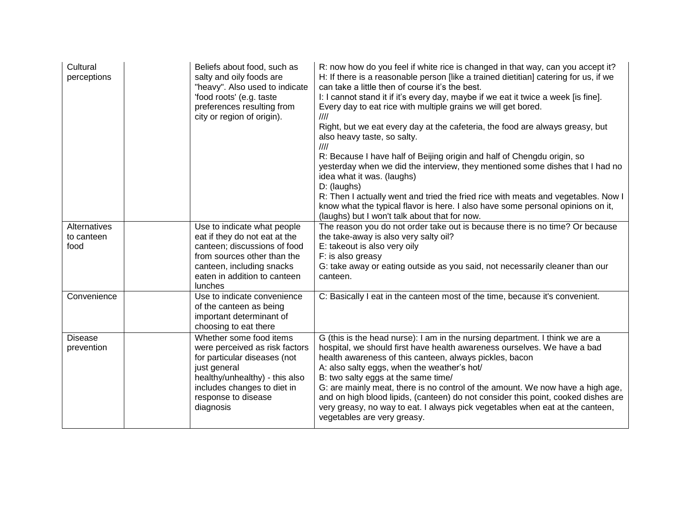| Cultural<br>perceptions      | Beliefs about food, such as<br>salty and oily foods are<br>"heavy". Also used to indicate<br>'food roots' (e.g. taste<br>preferences resulting from<br>city or region of origin).                              | R: now how do you feel if white rice is changed in that way, can you accept it?<br>H: If there is a reasonable person [like a trained dietitian] catering for us, if we<br>can take a little then of course it's the best.<br>I: I cannot stand it if it's every day, maybe if we eat it twice a week [is fine].<br>Every day to eat rice with multiple grains we will get bored.<br>III<br>Right, but we eat every day at the cafeteria, the food are always greasy, but<br>also heavy taste, so salty.<br>$\frac{1}{1}$<br>R: Because I have half of Beijing origin and half of Chengdu origin, so<br>yesterday when we did the interview, they mentioned some dishes that I had no<br>idea what it was. (laughs)<br>D: (laughs)<br>R: Then I actually went and tried the fried rice with meats and vegetables. Now I<br>know what the typical flavor is here. I also have some personal opinions on it,<br>(laughs) but I won't talk about that for now. |
|------------------------------|----------------------------------------------------------------------------------------------------------------------------------------------------------------------------------------------------------------|-------------------------------------------------------------------------------------------------------------------------------------------------------------------------------------------------------------------------------------------------------------------------------------------------------------------------------------------------------------------------------------------------------------------------------------------------------------------------------------------------------------------------------------------------------------------------------------------------------------------------------------------------------------------------------------------------------------------------------------------------------------------------------------------------------------------------------------------------------------------------------------------------------------------------------------------------------------|
| Alternatives                 | Use to indicate what people                                                                                                                                                                                    | The reason you do not order take out is because there is no time? Or because                                                                                                                                                                                                                                                                                                                                                                                                                                                                                                                                                                                                                                                                                                                                                                                                                                                                                |
| to canteen                   | eat if they do not eat at the                                                                                                                                                                                  | the take-away is also very salty oil?                                                                                                                                                                                                                                                                                                                                                                                                                                                                                                                                                                                                                                                                                                                                                                                                                                                                                                                       |
| food                         | canteen; discussions of food                                                                                                                                                                                   | E: takeout is also very oily                                                                                                                                                                                                                                                                                                                                                                                                                                                                                                                                                                                                                                                                                                                                                                                                                                                                                                                                |
|                              | from sources other than the<br>canteen, including snacks                                                                                                                                                       | F: is also greasy<br>G: take away or eating outside as you said, not necessarily cleaner than our                                                                                                                                                                                                                                                                                                                                                                                                                                                                                                                                                                                                                                                                                                                                                                                                                                                           |
|                              | eaten in addition to canteen                                                                                                                                                                                   | canteen.                                                                                                                                                                                                                                                                                                                                                                                                                                                                                                                                                                                                                                                                                                                                                                                                                                                                                                                                                    |
|                              | <b>lunches</b>                                                                                                                                                                                                 |                                                                                                                                                                                                                                                                                                                                                                                                                                                                                                                                                                                                                                                                                                                                                                                                                                                                                                                                                             |
| Convenience                  | Use to indicate convenience<br>of the canteen as being<br>important determinant of                                                                                                                             | C: Basically I eat in the canteen most of the time, because it's convenient.                                                                                                                                                                                                                                                                                                                                                                                                                                                                                                                                                                                                                                                                                                                                                                                                                                                                                |
|                              | choosing to eat there                                                                                                                                                                                          |                                                                                                                                                                                                                                                                                                                                                                                                                                                                                                                                                                                                                                                                                                                                                                                                                                                                                                                                                             |
| <b>Disease</b><br>prevention | Whether some food items<br>were perceived as risk factors<br>for particular diseases (not<br>just general<br>healthy/unhealthy) - this also<br>includes changes to diet in<br>response to disease<br>diagnosis | G (this is the head nurse): I am in the nursing department. I think we are a<br>hospital, we should first have health awareness ourselves. We have a bad<br>health awareness of this canteen, always pickles, bacon<br>A: also salty eggs, when the weather's hot/<br>B: two salty eggs at the same time/<br>G: are mainly meat, there is no control of the amount. We now have a high age,<br>and on high blood lipids, (canteen) do not consider this point, cooked dishes are<br>very greasy, no way to eat. I always pick vegetables when eat at the canteen,<br>vegetables are very greasy.                                                                                                                                                                                                                                                                                                                                                            |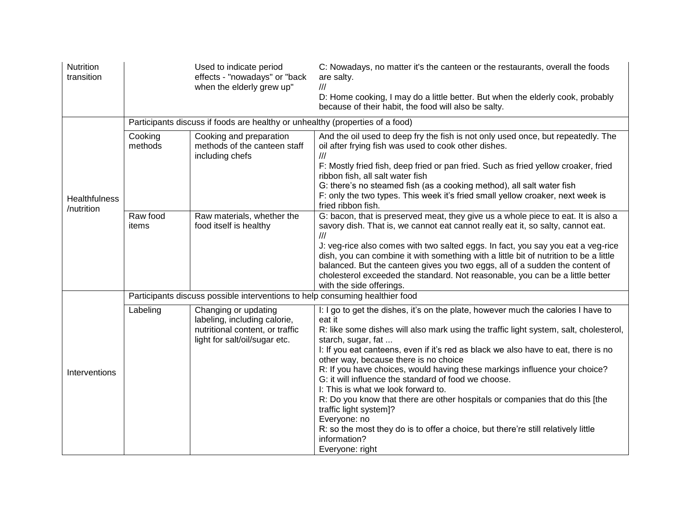| Nutrition<br>transition            |                                                                               | Used to indicate period<br>effects - "nowadays" or "back<br>when the elderly grew up"                                    | C: Nowadays, no matter it's the canteen or the restaurants, overall the foods<br>are salty.<br>$^{\prime\prime\prime}$<br>D: Home cooking, I may do a little better. But when the elderly cook, probably<br>because of their habit, the food will also be salty.                                                                                                                                                                                                                                                                                                                                                                                                                                                                                                         |  |
|------------------------------------|-------------------------------------------------------------------------------|--------------------------------------------------------------------------------------------------------------------------|--------------------------------------------------------------------------------------------------------------------------------------------------------------------------------------------------------------------------------------------------------------------------------------------------------------------------------------------------------------------------------------------------------------------------------------------------------------------------------------------------------------------------------------------------------------------------------------------------------------------------------------------------------------------------------------------------------------------------------------------------------------------------|--|
|                                    | Participants discuss if foods are healthy or unhealthy (properties of a food) |                                                                                                                          |                                                                                                                                                                                                                                                                                                                                                                                                                                                                                                                                                                                                                                                                                                                                                                          |  |
| <b>Healthfulness</b><br>/nutrition | Cooking<br>methods                                                            | Cooking and preparation<br>methods of the canteen staff<br>including chefs                                               | And the oil used to deep fry the fish is not only used once, but repeatedly. The<br>oil after frying fish was used to cook other dishes.<br>$^{\prime\prime\prime}$<br>F: Mostly fried fish, deep fried or pan fried. Such as fried yellow croaker, fried<br>ribbon fish, all salt water fish<br>G: there's no steamed fish (as a cooking method), all salt water fish<br>F: only the two types. This week it's fried small yellow croaker, next week is                                                                                                                                                                                                                                                                                                                 |  |
|                                    |                                                                               |                                                                                                                          | fried ribbon fish.                                                                                                                                                                                                                                                                                                                                                                                                                                                                                                                                                                                                                                                                                                                                                       |  |
|                                    | Raw food<br>items                                                             | Raw materials, whether the<br>food itself is healthy                                                                     | G: bacon, that is preserved meat, they give us a whole piece to eat. It is also a<br>savory dish. That is, we cannot eat cannot really eat it, so salty, cannot eat.<br>///<br>J: veg-rice also comes with two salted eggs. In fact, you say you eat a veg-rice<br>dish, you can combine it with something with a little bit of nutrition to be a little<br>balanced. But the canteen gives you two eggs, all of a sudden the content of<br>cholesterol exceeded the standard. Not reasonable, you can be a little better<br>with the side offerings.                                                                                                                                                                                                                    |  |
|                                    | Participants discuss possible interventions to help consuming healthier food  |                                                                                                                          |                                                                                                                                                                                                                                                                                                                                                                                                                                                                                                                                                                                                                                                                                                                                                                          |  |
| Interventions                      | Labeling                                                                      | Changing or updating<br>labeling, including calorie,<br>nutritional content, or traffic<br>light for salt/oil/sugar etc. | I: I go to get the dishes, it's on the plate, however much the calories I have to<br>eat it<br>R: like some dishes will also mark using the traffic light system, salt, cholesterol,<br>starch, sugar, fat<br>I: If you eat canteens, even if it's red as black we also have to eat, there is no<br>other way, because there is no choice<br>R: If you have choices, would having these markings influence your choice?<br>G: it will influence the standard of food we choose.<br>I: This is what we look forward to.<br>R: Do you know that there are other hospitals or companies that do this [the<br>traffic light system]?<br>Everyone: no<br>R: so the most they do is to offer a choice, but there're still relatively little<br>information?<br>Everyone: right |  |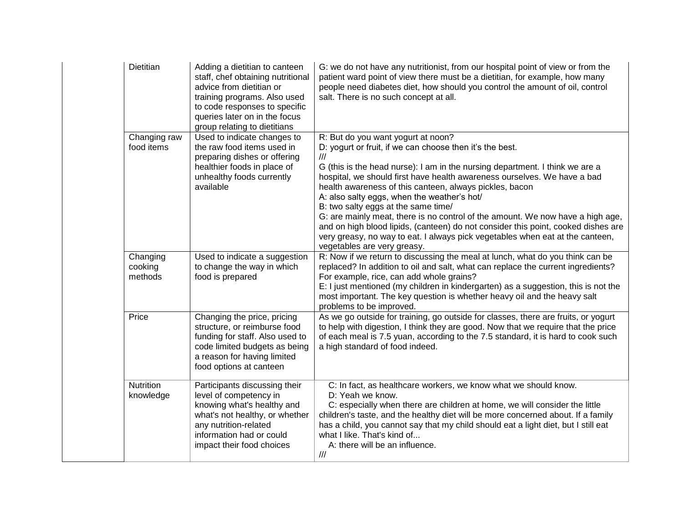| Dietitian                      | Adding a dietitian to canteen<br>staff, chef obtaining nutritional<br>advice from dietitian or<br>training programs. Also used<br>to code responses to specific<br>queries later on in the focus<br>group relating to dietitians | G: we do not have any nutritionist, from our hospital point of view or from the<br>patient ward point of view there must be a dietitian, for example, how many<br>people need diabetes diet, how should you control the amount of oil, control<br>salt. There is no such concept at all.                                                                                                                                                                                                                                                                                                                                                                                                                            |
|--------------------------------|----------------------------------------------------------------------------------------------------------------------------------------------------------------------------------------------------------------------------------|---------------------------------------------------------------------------------------------------------------------------------------------------------------------------------------------------------------------------------------------------------------------------------------------------------------------------------------------------------------------------------------------------------------------------------------------------------------------------------------------------------------------------------------------------------------------------------------------------------------------------------------------------------------------------------------------------------------------|
| Changing raw<br>food items     | Used to indicate changes to<br>the raw food items used in<br>preparing dishes or offering<br>healthier foods in place of<br>unhealthy foods currently<br>available                                                               | R: But do you want yogurt at noon?<br>D: yogurt or fruit, if we can choose then it's the best.<br>$\frac{1}{1}$<br>G (this is the head nurse): I am in the nursing department. I think we are a<br>hospital, we should first have health awareness ourselves. We have a bad<br>health awareness of this canteen, always pickles, bacon<br>A: also salty eggs, when the weather's hot/<br>B: two salty eggs at the same time/<br>G: are mainly meat, there is no control of the amount. We now have a high age,<br>and on high blood lipids, (canteen) do not consider this point, cooked dishes are<br>very greasy, no way to eat. I always pick vegetables when eat at the canteen,<br>vegetables are very greasy. |
| Changing<br>cooking<br>methods | Used to indicate a suggestion<br>to change the way in which<br>food is prepared                                                                                                                                                  | R: Now if we return to discussing the meal at lunch, what do you think can be<br>replaced? In addition to oil and salt, what can replace the current ingredients?<br>For example, rice, can add whole grains?<br>E: I just mentioned (my children in kindergarten) as a suggestion, this is not the<br>most important. The key question is whether heavy oil and the heavy salt<br>problems to be improved.                                                                                                                                                                                                                                                                                                         |
| Price                          | Changing the price, pricing<br>structure, or reimburse food<br>funding for staff. Also used to<br>code limited budgets as being<br>a reason for having limited<br>food options at canteen                                        | As we go outside for training, go outside for classes, there are fruits, or yogurt<br>to help with digestion, I think they are good. Now that we require that the price<br>of each meal is 7.5 yuan, according to the 7.5 standard, it is hard to cook such<br>a high standard of food indeed.                                                                                                                                                                                                                                                                                                                                                                                                                      |
| Nutrition<br>knowledge         | Participants discussing their<br>level of competency in<br>knowing what's healthy and<br>what's not healthy, or whether<br>any nutrition-related<br>information had or could<br>impact their food choices                        | C: In fact, as healthcare workers, we know what we should know.<br>D: Yeah we know.<br>C: especially when there are children at home, we will consider the little<br>children's taste, and the healthy diet will be more concerned about. If a family<br>has a child, you cannot say that my child should eat a light diet, but I still eat<br>what I like. That's kind of<br>A: there will be an influence.<br>$\mathcal{U}\mathcal{U}$                                                                                                                                                                                                                                                                            |